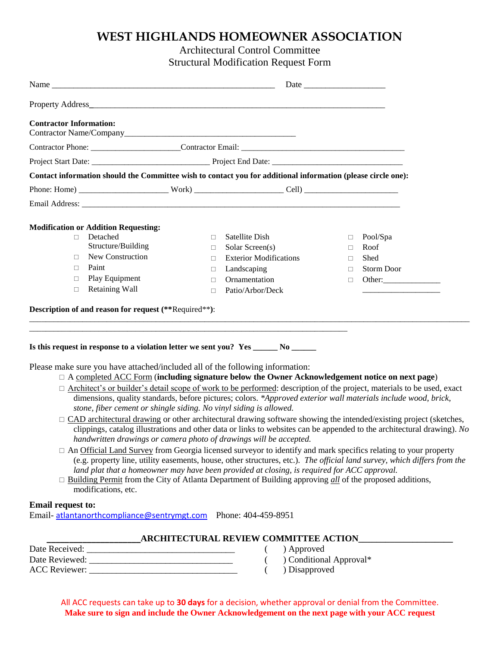## **WEST HIGHLANDS HOMEOWNER ASSOCIATION**

Architectural Control Committee

Structural Modification Request Form

| <b>Contractor Information:</b> |                                                                                                            |                                                                                                                                                                                                                                                                                                                                                                                                                                                                                                                                                                                                                                                                                                                                                                                                                                                                                                                                                                                                                                                                                                                                                                                                                                                                                                                                                                            |                                  |                                               |
|--------------------------------|------------------------------------------------------------------------------------------------------------|----------------------------------------------------------------------------------------------------------------------------------------------------------------------------------------------------------------------------------------------------------------------------------------------------------------------------------------------------------------------------------------------------------------------------------------------------------------------------------------------------------------------------------------------------------------------------------------------------------------------------------------------------------------------------------------------------------------------------------------------------------------------------------------------------------------------------------------------------------------------------------------------------------------------------------------------------------------------------------------------------------------------------------------------------------------------------------------------------------------------------------------------------------------------------------------------------------------------------------------------------------------------------------------------------------------------------------------------------------------------------|----------------------------------|-----------------------------------------------|
|                                |                                                                                                            |                                                                                                                                                                                                                                                                                                                                                                                                                                                                                                                                                                                                                                                                                                                                                                                                                                                                                                                                                                                                                                                                                                                                                                                                                                                                                                                                                                            |                                  |                                               |
|                                |                                                                                                            |                                                                                                                                                                                                                                                                                                                                                                                                                                                                                                                                                                                                                                                                                                                                                                                                                                                                                                                                                                                                                                                                                                                                                                                                                                                                                                                                                                            |                                  |                                               |
|                                |                                                                                                            | Contact information should the Committee wish to contact you for additional information (please circle one):                                                                                                                                                                                                                                                                                                                                                                                                                                                                                                                                                                                                                                                                                                                                                                                                                                                                                                                                                                                                                                                                                                                                                                                                                                                               |                                  |                                               |
|                                |                                                                                                            |                                                                                                                                                                                                                                                                                                                                                                                                                                                                                                                                                                                                                                                                                                                                                                                                                                                                                                                                                                                                                                                                                                                                                                                                                                                                                                                                                                            |                                  |                                               |
|                                |                                                                                                            |                                                                                                                                                                                                                                                                                                                                                                                                                                                                                                                                                                                                                                                                                                                                                                                                                                                                                                                                                                                                                                                                                                                                                                                                                                                                                                                                                                            |                                  |                                               |
|                                |                                                                                                            |                                                                                                                                                                                                                                                                                                                                                                                                                                                                                                                                                                                                                                                                                                                                                                                                                                                                                                                                                                                                                                                                                                                                                                                                                                                                                                                                                                            |                                  |                                               |
| $\Box$<br>П.<br>П.             | <b>Modification or Addition Requesting:</b><br>Detached<br>Structure/Building<br>New Construction<br>Paint | Satellite Dish<br>$\Box$<br>Solar Screen(s)<br>$\Box$<br><b>Exterior Modifications</b><br>$\Box$<br>Landscaping<br>$\Box$                                                                                                                                                                                                                                                                                                                                                                                                                                                                                                                                                                                                                                                                                                                                                                                                                                                                                                                                                                                                                                                                                                                                                                                                                                                  | $\Box$<br>$\Box$<br>$\Box$<br>П. | Pool/Spa<br>Roof<br>Shed<br><b>Storm Door</b> |
| $\Box$                         | Play Equipment                                                                                             | Ornamentation<br>$\Box$                                                                                                                                                                                                                                                                                                                                                                                                                                                                                                                                                                                                                                                                                                                                                                                                                                                                                                                                                                                                                                                                                                                                                                                                                                                                                                                                                    | $\Box$                           |                                               |
| $\Box$                         | Retaining Wall                                                                                             | Patio/Arbor/Deck<br>$\Box$                                                                                                                                                                                                                                                                                                                                                                                                                                                                                                                                                                                                                                                                                                                                                                                                                                                                                                                                                                                                                                                                                                                                                                                                                                                                                                                                                 |                                  |                                               |
|                                |                                                                                                            | Is this request in response to a violation letter we sent you? Yes _______ No ______                                                                                                                                                                                                                                                                                                                                                                                                                                                                                                                                                                                                                                                                                                                                                                                                                                                                                                                                                                                                                                                                                                                                                                                                                                                                                       |                                  |                                               |
| <b>Email request to:</b>       | modifications, etc.                                                                                        | Please make sure you have attached/included all of the following information:<br>$\Box$ A completed ACC Form (including signature below the Owner Acknowledgement notice on next page)<br>□ Architect's or builder's detail scope of work to be performed: description of the project, materials to be used, exact<br>dimensions, quality standards, before pictures; colors. *Approved exterior wall materials include wood, brick,<br>stone, fiber cement or shingle siding. No vinyl siding is allowed.<br>CAD architectural drawing or other architectural drawing software showing the intended/existing project (sketches,<br>clippings, catalog illustrations and other data or links to websites can be appended to the architectural drawing). No<br>handwritten drawings or camera photo of drawings will be accepted.<br>$\Box$ An Official Land Survey from Georgia licensed surveyor to identify and mark specifics relating to your property<br>(e.g. property line, utility easements, house, other structures, etc.). The official land survey, which differs from the<br>land plat that a homeowner may have been provided at closing, is required for ACC approval.<br>$\Box$ Building Permit from the City of Atlanta Department of Building approving all of the proposed additions,<br>Email-atlantanorthcompliance@sentrymgt.com Phone: 404-459-8951 |                                  |                                               |
|                                |                                                                                                            |                                                                                                                                                                                                                                                                                                                                                                                                                                                                                                                                                                                                                                                                                                                                                                                                                                                                                                                                                                                                                                                                                                                                                                                                                                                                                                                                                                            |                                  |                                               |
|                                |                                                                                                            | <b>ARCHITECTURAL REVIEW COMMITTEE ACTION</b><br>) Approved                                                                                                                                                                                                                                                                                                                                                                                                                                                                                                                                                                                                                                                                                                                                                                                                                                                                                                                                                                                                                                                                                                                                                                                                                                                                                                                 |                                  |                                               |

Date Reviewed: \_\_\_\_\_\_\_\_\_\_\_\_\_\_\_\_\_\_\_\_\_\_\_\_\_\_\_\_\_\_\_\_ ( ) Conditional Approval\* ACC Reviewer: \_\_\_\_\_\_\_\_\_\_\_\_\_\_\_\_\_\_\_\_\_\_\_\_\_\_\_\_\_\_\_\_\_ ( ) Disapproved

All ACC requests can take up to **30 days** for a decision, whether approval or denial from the Committee. **Make sure to sign and include the Owner Acknowledgement on the next page with your ACC request**